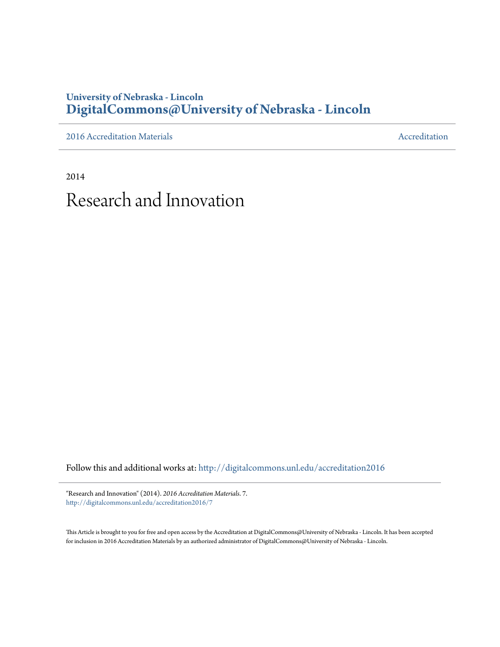### **University of Nebraska - Lincoln [DigitalCommons@University of Nebraska - Lincoln](http://digitalcommons.unl.edu?utm_source=digitalcommons.unl.edu%2Faccreditation2016%2F7&utm_medium=PDF&utm_campaign=PDFCoverPages)**

[2016 Accreditation Materials](http://digitalcommons.unl.edu/accreditation2016?utm_source=digitalcommons.unl.edu%2Faccreditation2016%2F7&utm_medium=PDF&utm_campaign=PDFCoverPages) **[Accreditation](http://digitalcommons.unl.edu/accreditation?utm_source=digitalcommons.unl.edu%2Faccreditation2016%2F7&utm_medium=PDF&utm_campaign=PDFCoverPages) Materials** Accreditation Accreditation

2014 Research and Innovation

Follow this and additional works at: [http://digitalcommons.unl.edu/accreditation2016](http://digitalcommons.unl.edu/accreditation2016?utm_source=digitalcommons.unl.edu%2Faccreditation2016%2F7&utm_medium=PDF&utm_campaign=PDFCoverPages)

"Research and Innovation" (2014). *2016 Accreditation Materials*. 7. [http://digitalcommons.unl.edu/accreditation2016/7](http://digitalcommons.unl.edu/accreditation2016/7?utm_source=digitalcommons.unl.edu%2Faccreditation2016%2F7&utm_medium=PDF&utm_campaign=PDFCoverPages)

This Article is brought to you for free and open access by the Accreditation at DigitalCommons@University of Nebraska - Lincoln. It has been accepted for inclusion in 2016 Accreditation Materials by an authorized administrator of DigitalCommons@University of Nebraska - Lincoln.